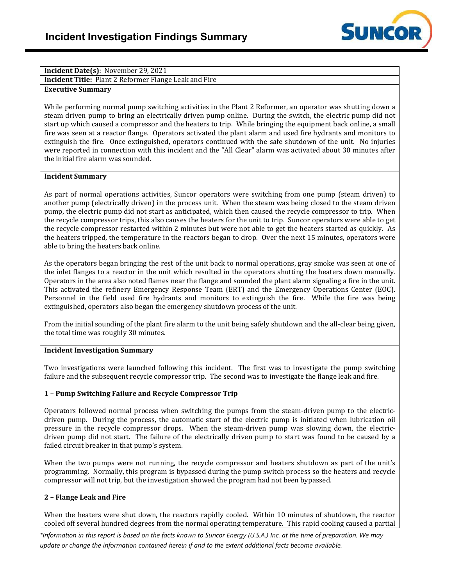

# **Incident Date(s)**: November 29, 2021

**Incident Title:** Plant 2 Reformer Flange Leak and Fire

### **Executive Summary**

While performing normal pump switching activities in the Plant 2 Reformer, an operator was shutting down a steam driven pump to bring an electrically driven pump online. During the switch, the electric pump did not start up which caused a compressor and the heaters to trip. While bringing the equipment back online, a small fire was seen at a reactor flange. Operators activated the plant alarm and used fire hydrants and monitors to extinguish the fire. Once extinguished, operators continued with the safe shutdown of the unit. No injuries were reported in connection with this incident and the "All Clear" alarm was activated about 30 minutes after the initial fire alarm was sounded.

#### **Incident Summary**

As part of normal operations activities, Suncor operators were switching from one pump (steam driven) to another pump (electrically driven) in the process unit. When the steam was being closed to the steam driven pump, the electric pump did not start as anticipated, which then caused the recycle compressor to trip. When the recycle compressor trips, this also causes the heaters for the unit to trip. Suncor operators were able to get the recycle compressor restarted within 2 minutes but were not able to get the heaters started as quickly. As the heaters tripped, the temperature in the reactors began to drop. Over the next 15 minutes, operators were able to bring the heaters back online.

As the operators began bringing the rest of the unit back to normal operations, gray smoke was seen at one of the inlet flanges to a reactor in the unit which resulted in the operators shutting the heaters down manually. Operators in the area also noted flames near the flange and sounded the plant alarm signaling a fire in the unit. This activated the refinery Emergency Response Team (ERT) and the Emergency Operations Center (EOC). Personnel in the field used fire hydrants and monitors to extinguish the fire. While the fire was being extinguished, operators also began the emergency shutdown process of the unit.

From the initial sounding of the plant fire alarm to the unit being safely shutdown and the all-clear being given, the total time was roughly 30 minutes.

#### **Incident Investigation Summary**

Two investigations were launched following this incident. The first was to investigate the pump switching failure and the subsequent recycle compressor trip. The second was to investigate the flange leak and fire.

#### **1 – Pump Switching Failure and Recycle Compressor Trip**

Operators followed normal process when switching the pumps from the steam-driven pump to the electricdriven pump. During the process, the automatic start of the electric pump is initiated when lubrication oil pressure in the recycle compressor drops. When the steam-driven pump was slowing down, the electricdriven pump did not start. The failure of the electrically driven pump to start was found to be caused by a failed circuit breaker in that pump's system.

When the two pumps were not running, the recycle compressor and heaters shutdown as part of the unit's programming. Normally, this program is bypassed during the pump switch process so the heaters and recycle compressor will not trip, but the investigation showed the program had not been bypassed.

#### **2 – Flange Leak and Fire**

When the heaters were shut down, the reactors rapidly cooled. Within 10 minutes of shutdown, the reactor cooled off several hundred degrees from the normal operating temperature. This rapid cooling caused a partial

*\*Information in this report is based on the facts known to Suncor Energy (U.S.A.) Inc. at the time of preparation. We may update or change the information contained herein if and to the extent additional facts become available.*